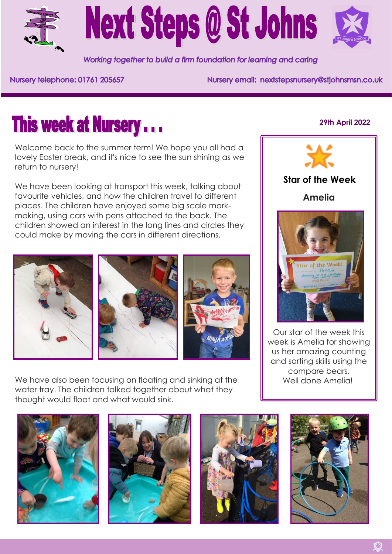



Working together to build a firm foundation for learning and caring

Nursery telephone: 01761 205657

Nursery email: nextstepsnursery@stjohnsmsn.co.uk

# **This week at Nursery...**

Welcome back to the summer term! We hope you all had a lovely Easter break, and it's nice to see the sun shining as we return to nursery!

We have been looking at transport this week, talking about favourite vehicles, and how the children travel to different places. The children have enjoyed some big scale markmaking, using cars with pens attached to the back. The children showed an interest in the long lines and circles they could make by moving the cars in different directions.







We have also been focusing on floating and sinking at the water tray. The children talked together about what they thought would float and what would sink.













### **29th April 2022**